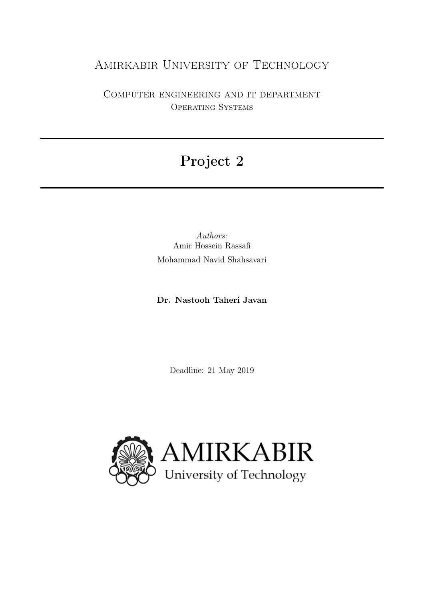# Amirkabir University of Technology

Computer engineering and it department Operating Systems

# Project 2

Authors: Amir Hossein Rassafi Mohammad Navid Shahsavari

Dr. Nastooh Taheri Javan

Deadline: 21 May 2019

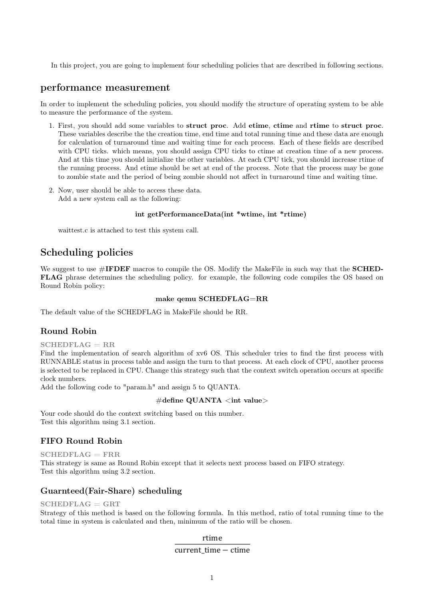In this project, you are going to implement four scheduling policies that are described in following sections.

# performance measurement

In order to implement the scheduling policies, you should modify the structure of operating system to be able to measure the performance of the system.

- 1. First, you should add some variables to struct proc. Add etime, ctime and rtime to struct proc. These variables describe the the creation time, end time and total running time and these data are enough for calculation of turnaround time and waiting time for each process. Each of these fields are described with CPU ticks. which means, you should assign CPU ticks to ctime at creation time of a new process. And at this time you should initialize the other variables. At each CPU tick, you should increase rtime of the running process. And etime should be set at end of the process. Note that the process may be gone to zombie state and the period of being zombie should not affect in turnaround time and waiting time.
- 2. Now, user should be able to access these data. Add a new system call as the following:

#### int getPerformanceData(int \*wtime, int \*rtime)

waittest.c is attached to test this system call.

# Scheduling policies

We suggest to use  $\#\text{IFDEF}$  macros to compile the OS. Modify the MakeFile in such way that the **SCHED**-FLAG phrase determines the scheduling policy. for example, the following code compiles the OS based on Round Robin policy:

#### make qemu SCHEDFLAG=RR

The default value of the SCHEDFLAG in MakeFile should be RR.

#### Round Robin

 $SCHEDFLAG = RR$ 

Find the implementation of search algorithm of xv6 OS. This scheduler tries to find the first process with RUNNABLE status in process table and assign the turn to that process. At each clock of CPU, another process is selected to be replaced in CPU. Change this strategy such that the context switch operation occurs at specific clock numbers.

Add the following code to "param.h" and assign 5 to QUANTA.

#### $\#$ define QUANTA  $\lt$ int value $>$

Your code should do the context switching based on this number. Test this algorithm using 3.1 section.

# FIFO Round Robin

 $SCHEDFLAG = FRR$ This strategy is same as Round Robin except that it selects next process based on FIFO strategy. Test this algorithm using 3.2 section.

#### Guarnteed(Fair-Share) scheduling

#### $SCHEDFLAG = GRT$

Strategy of this method is based on the following formula. In this method, ratio of total running time to the total time in system is calculated and then, minimum of the ratio will be chosen.

rtime

# current time - ctime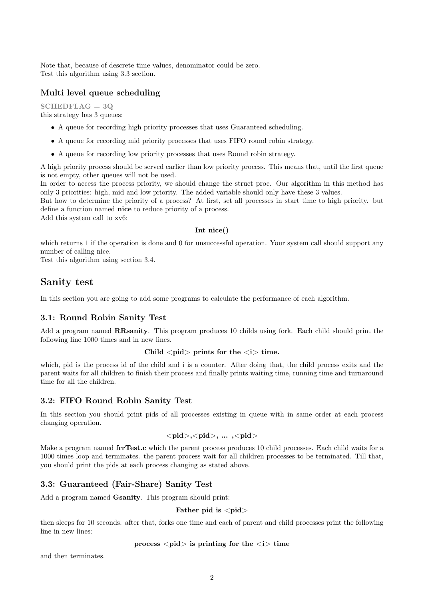Note that, because of descrete time values, denominator could be zero. Test this algorithm using 3.3 section.

# Multi level queue scheduling

 $SCHEDFLAG = 3Q$ this strategy has 3 queues:

- A queue for recording high priority processes that uses Guaranteed scheduling.
- A queue for recording mid priority processes that uses FIFO round robin strategy.
- A queue for recording low priority processes that uses Round robin strategy.

A high priority process should be served earlier than low priority process. This means that, until the first queue is not empty, other queues will not be used.

In order to access the process priority, we should change the struct proc. Our algorithm in this method has only 3 priorities: high, mid and low priority. The added variable should only have these 3 values.

But how to determine the priority of a process? At first, set all processes in start time to high priority. but define a function named nice to reduce priority of a process.

Add this system call to xv6:

#### Int nice()

which returns 1 if the operation is done and 0 for unsuccessful operation. Your system call should support any number of calling nice.

Test this algorithm using section 3.4.

# Sanity test

In this section you are going to add some programs to calculate the performance of each algorithm.

# 3.1: Round Robin Sanity Test

Add a program named **RRsanity**. This program produces 10 childs using fork. Each child should print the following line 1000 times and in new lines.

#### Child  $\langle$ pid $\rangle$  prints for the  $\langle i \rangle$  time.

which, pid is the process id of the child and i is a counter. After doing that, the child process exits and the parent waits for all children to finish their process and finally prints waiting time, running time and turnaround time for all the children.

#### 3.2: FIFO Round Robin Sanity Test

In this section you should print pids of all processes existing in queue with in same order at each process changing operation.

$$
\verb!,,...,\verb!!
$$

Make a program named frrTest.c which the parent process produces 10 child processes. Each child waits for a 1000 times loop and terminates. the parent process wait for all children processes to be terminated. Till that, you should print the pids at each process changing as stated above.

# 3.3: Guaranteed (Fair-Share) Sanity Test

Add a program named **Gsanity**. This program should print:

Father pid is  $\langle$ pid $\rangle$ 

then sleeps for 10 seconds. after that, forks one time and each of parent and child processes print the following line in new lines:

#### process  $\langle pid\rangle$  is printing for the  $\langle i\rangle$  time

and then terminates.